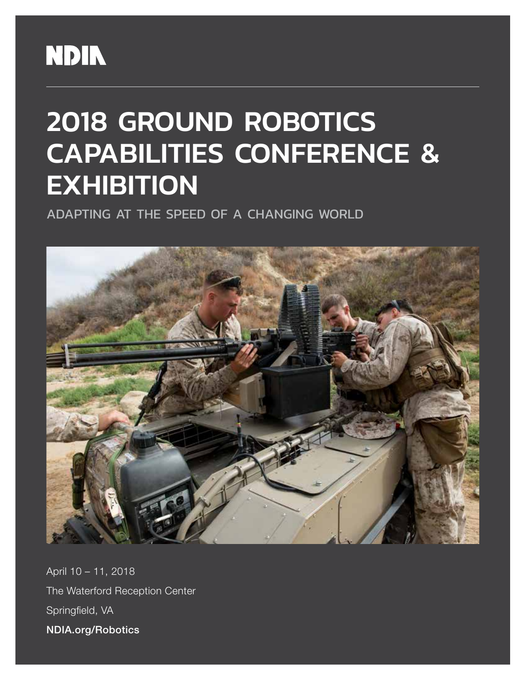## **NDIN**

# 2018 GROUND ROBOTICS CAPABILITIES CONFERENCE & **EXHIBITION**

ADAPTING AT THE SPEED OF A CHANGING WORLD



April 10 – 11, 2018 The Waterford Reception Center Springfield, VA NDIA.org/Robotics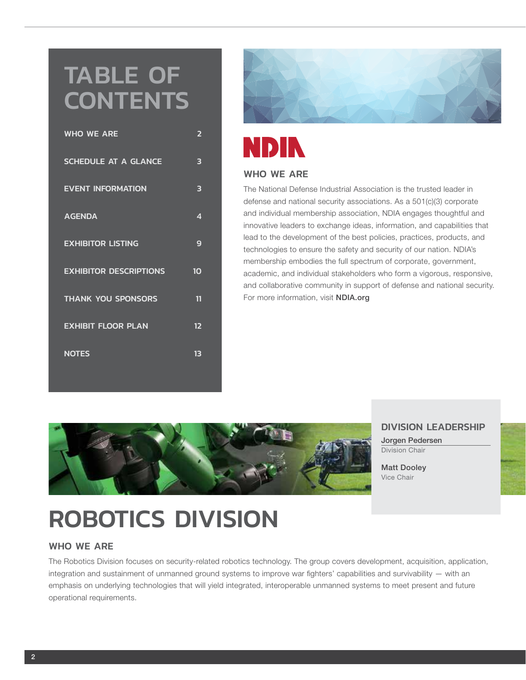## TABLE OF **CONTENTS**

| <b>WHO WE ARE</b>             | 2  |
|-------------------------------|----|
| <b>SCHEDULE AT A GLANCE</b>   | 3  |
| <b>EVENT INFORMATION</b>      | 3  |
| <b>AGENDA</b>                 | 4  |
| <b>EXHIBITOR LISTING</b>      | 9  |
| <b>EXHIBITOR DESCRIPTIONS</b> | 10 |
| <b>THANK YOU SPONSORS</b>     | 11 |
| <b>EXHIBIT FLOOR PLAN</b>     | 12 |
| <b>NOTES</b>                  | 13 |



## **NDIN**

#### WHO WE ARE

The National Defense Industrial Association is the trusted leader in defense and national security associations. As a 501(c)(3) corporate and individual membership association, NDIA engages thoughtful and innovative leaders to exchange ideas, information, and capabilities that lead to the development of the best policies, practices, products, and technologies to ensure the safety and security of our nation. NDIA's membership embodies the full spectrum of corporate, government, academic, and individual stakeholders who form a vigorous, responsive, and collaborative community in support of defense and national security. For more information, visit NDIA.org



#### DIVISION LEADERSHIP

Jorgen Pedersen Division Chair

Matt Dooley Vice Chair

## ROBOTICS DIVISION

#### WHO WE ARE

The Robotics Division focuses on security-related robotics technology. The group covers development, acquisition, application, integration and sustainment of unmanned ground systems to improve war fighters' capabilities and survivability — with an emphasis on underlying technologies that will yield integrated, interoperable unmanned systems to meet present and future operational requirements.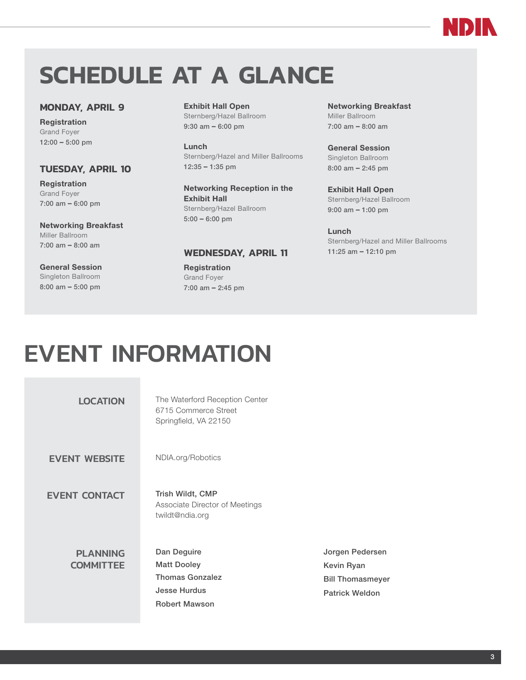## **SCHEDULE AT A GLANCE**

#### **MONDAY, APRIL 9**

Registration Grand Foyer 12:00 – 5:00 pm

#### **TUESDAY, APRIL 10**

Registration Grand Foyer 7:00 am – 6:00 pm

#### Networking Breakfast

Miller Ballroom 7:00 am – 8:00 am

#### General Session Singleton Ballroom 8:00 am – 5:00 pm

Exhibit Hall Open Sternberg/Hazel Ballroom 9:30 am – 6:00 pm

Lunch Sternberg/Hazel and Miller Ballrooms 12:35 – 1:35 pm

Networking Reception in the Exhibit Hall Sternberg/Hazel Ballroom 5:00 – 6:00 pm

#### **WEDNESDAY, APRIL 11**

Registration Grand Foyer 7:00 am – 2:45 pm Networking Breakfast Miller Ballroom 7:00 am – 8:00 am

NDI

General Session Singleton Ballroom 8:00 am – 2:45 pm

Exhibit Hall Open Sternberg/Hazel Ballroom 9:00 am – 1:00 pm

Lunch Sternberg/Hazel and Miller Ballrooms 11:25 am – 12:10 pm

## EVENT INFORMATION

| <b>LOCATION</b>                     | The Waterford Reception Center<br>6715 Commerce Street<br>Springfield, VA 22150                            |
|-------------------------------------|------------------------------------------------------------------------------------------------------------|
| <b>EVENT WEBSITE</b>                | NDIA.org/Robotics                                                                                          |
| <b>EVENT CONTACT</b>                | Trish Wildt, CMP<br>Associate Director of Meetings<br>twildt@ndia.org                                      |
| <b>PLANNING</b><br><b>COMMITTEE</b> | Dan Deguire<br><b>Matt Dooley</b><br><b>Thomas Gonzalez</b><br><b>Jesse Hurdus</b><br><b>Robert Mawson</b> |

Jorgen Pedersen Kevin Ryan Bill Thomasmeyer Patrick Weldon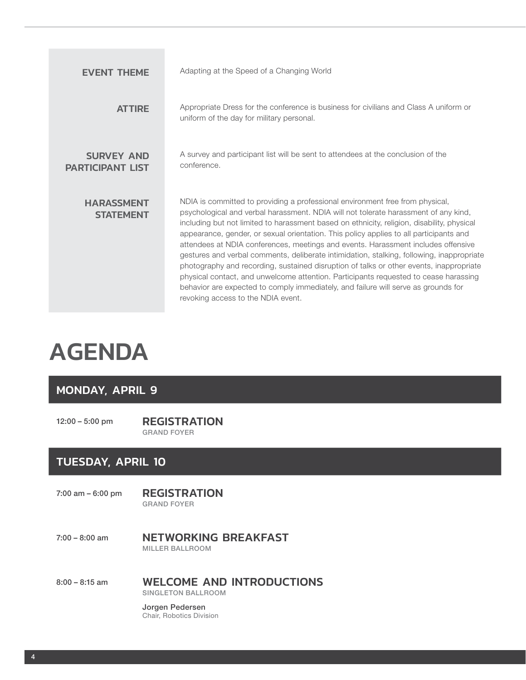| <b>EVENT THEME</b>                           | Adapting at the Speed of a Changing World                                                                                                                                                                                                                                                                                                                                                                                                                                                                                                                                                                                                                                                                                                                                                                                                                     |
|----------------------------------------------|---------------------------------------------------------------------------------------------------------------------------------------------------------------------------------------------------------------------------------------------------------------------------------------------------------------------------------------------------------------------------------------------------------------------------------------------------------------------------------------------------------------------------------------------------------------------------------------------------------------------------------------------------------------------------------------------------------------------------------------------------------------------------------------------------------------------------------------------------------------|
| <b>ATTIRE</b>                                | Appropriate Dress for the conference is business for civilians and Class A uniform or<br>uniform of the day for military personal.                                                                                                                                                                                                                                                                                                                                                                                                                                                                                                                                                                                                                                                                                                                            |
| <b>SURVEY AND</b><br><b>PARTICIPANT LIST</b> | A survey and participant list will be sent to attendees at the conclusion of the<br>conference.                                                                                                                                                                                                                                                                                                                                                                                                                                                                                                                                                                                                                                                                                                                                                               |
| <b>HARASSMENT</b><br><b>STATEMENT</b>        | NDIA is committed to providing a professional environment free from physical,<br>psychological and verbal harassment. NDIA will not tolerate harassment of any kind,<br>including but not limited to harassment based on ethnicity, religion, disability, physical<br>appearance, gender, or sexual orientation. This policy applies to all participants and<br>attendees at NDIA conferences, meetings and events. Harassment includes offensive<br>gestures and verbal comments, deliberate intimidation, stalking, following, inappropriate<br>photography and recording, sustained disruption of talks or other events, inappropriate<br>physical contact, and unwelcome attention. Participants requested to cease harassing<br>behavior are expected to comply immediately, and failure will serve as grounds for<br>revoking access to the NDIA event. |

## AGENDA

### MONDAY, APRIL 9

12:00 – 5:00 pm REGISTRATION GRAND FOYER

### TUESDAY, APRIL 10

7:00 am – 6:00 pm REGISTRATION

GRAND FOYER

7:00 - 8:00 am **NETWORKING BREAKFAST** MILLER BALLROOM

8:00 – 8:15 am WELCOME AND INTRODUCTIONS SINGLETON BALLROOM

> Jorgen Pedersen Chair, Robotics Division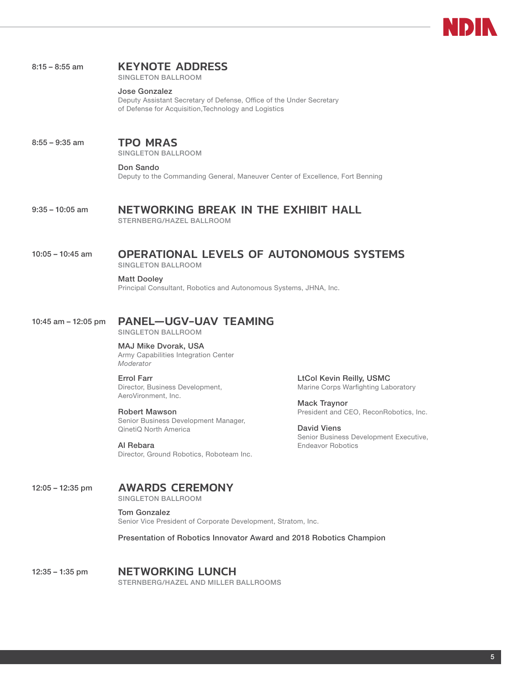#### 8:15 – 8:55 am **KEYNOTE ADDRESS**

SINGLETON BALLROOM

#### Jose Gonzalez

Deputy Assistant Secretary of Defense, Office of the Under Secretary of Defense for Acquisition,Technology and Logistics

## 8:55 – 9:35 am **TPO MRAS**

SINGLETON BALLROOM

#### Don Sando

Deputy to the Commanding General, Maneuver Center of Excellence, Fort Benning

## 9:35 – 10:05 am NETWORKING BREAK IN THE EXHIBIT HALL

STERNBERG/HAZEL BALLROOM

## 10:05 – 10:45 am OPERATIONAL LEVELS OF AUTONOMOUS SYSTEMS

SINGLETON BALLROOM

Matt Dooley

Principal Consultant, Robotics and Autonomous Systems, JHNA, Inc.

#### 10:45 am – 12:05 pm PANEL—UGV-UAV TEAMING

SINGLETON BALLROOM

MAJ Mike Dvorak, USA Army Capabilities Integration Center *Moderator*

Errol Farr Director, Business Development, AeroVironment, Inc.

#### Robert Mawson

Senior Business Development Manager, QinetiQ North America

Al Rebara Director, Ground Robotics, Roboteam Inc. LtCol Kevin Reilly, USMC Marine Corps Warfighting Laboratory

Mack Traynor President and CEO, ReconRobotics, Inc.

David Viens Senior Business Development Executive, Endeavor Robotics

12:05 – 12:35 pm AWARDS CEREMONY

SINGLETON BALLROOM

#### Tom Gonzalez

Senior Vice President of Corporate Development, Stratom, Inc.

Presentation of Robotics Innovator Award and 2018 Robotics Champion

12:35 – 1:35 pm **NETWORKING LUNCH** STERNBERG/HAZEL AND MILLER BALLROOMS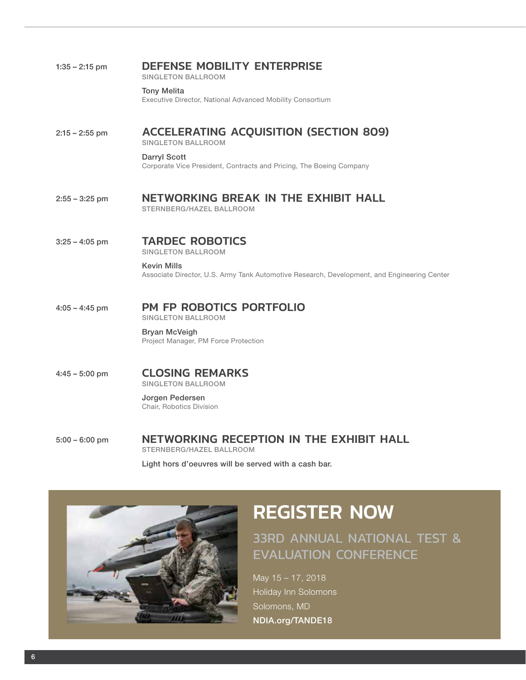| $1:35 - 2:15$ pm | <b>DEFENSE MOBILITY ENTERPRISE</b><br><b>SINGLETON BALLROOM</b>                                                   |
|------------------|-------------------------------------------------------------------------------------------------------------------|
|                  | <b>Tony Melita</b><br>Executive Director, National Advanced Mobility Consortium                                   |
| $2:15 - 2:55$ pm | <b>ACCELERATING ACQUISITION (SECTION 809)</b><br><b>SINGLETON BALLROOM</b>                                        |
|                  | <b>Darryl Scott</b><br>Corporate Vice President, Contracts and Pricing, The Boeing Company                        |
| $2:55 - 3:25$ pm | <b>NETWORKING BREAK IN THE EXHIBIT HALL</b><br>STERNBERG/HAZEL BALLROOM                                           |
| $3:25 - 4:05$ pm | <b>TARDEC ROBOTICS</b><br><b>SINGLETON BALLROOM</b>                                                               |
|                  | <b>Kevin Mills</b><br>Associate Director, U.S. Army Tank Automotive Research, Development, and Engineering Center |
| $4:05 - 4:45$ pm | <b>PM FP ROBOTICS PORTFOLIO</b><br><b>SINGLETON BALLROOM</b>                                                      |
|                  | <b>Bryan McVeigh</b><br>Project Manager, PM Force Protection                                                      |
| $4:45 - 5:00$ pm | <b>CLOSING REMARKS</b><br><b>SINGLETON BALLROOM</b>                                                               |
|                  | Jorgen Pedersen<br><b>Chair. Robotics Division</b>                                                                |
| $5:00 - 6:00$ pm | NETWORKING RECEPTION IN THE EXHIBIT HALL<br>STERNBERG/HAZEL BALLROOM                                              |

Light hors d'oeuvres will be served with a cash bar.



## REGISTER NOW

## 33RD ANNUAL NATIONAL TEST & EVALUATION CONFERENCE

May 15 – 17, 2018 Holiday Inn Solomons Solomons, MD NDIA.org/TANDE18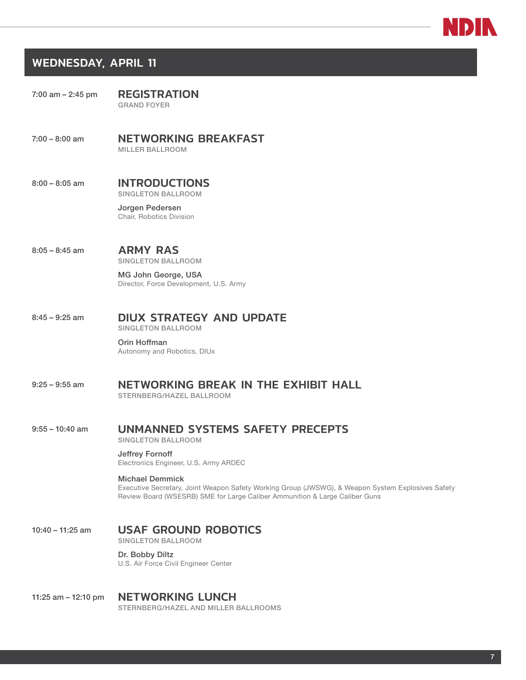

### WEDNESDAY, APRIL 11

| $7:00$ am $-2:45$ pm | <b>REGISTRATION</b> |  |
|----------------------|---------------------|--|
|                      | <b>GRAND FOYER</b>  |  |

7:00 – 8:00 am NETWORKING BREAKFAST MILLER BALLROOM

#### 8:00 – 8:05 am INTRODUCTIONS SINGLETON BALLROOM

Jorgen Pedersen Chair, Robotics Division

8:05 – 8:45 am **ARMY RAS** SINGLETON BALLROOM

> MG John George, USA Director, Force Development, U.S. Army

### 8:45 – 9:25 am **DIUX STRATEGY AND UPDATE**

SINGLETON BALLROOM

#### Orin Hoffman Autonomy and Robotics, DIUx

9:25 – 9:55 am NETWORKING BREAK IN THE EXHIBIT HALL STERNBERG/HAZEL BALLROOM

#### 9:55 – 10:40 am UNMANNED SYSTEMS SAFETY PRECEPTS

SINGLETON BALLROOM

#### Jeffrey Fornoff

Electronics Engineer, U.S. Army ARDEC

#### Michael Demmick

Executive Secretary, Joint Weapon Safety Working Group (JWSWG), & Weapon System Explosives Safety Review Board (WSESRB) SME for Large Caliber Ammunition & Large Caliber Guns

### 10:40 - 11:25 am USAF GROUND ROBOTICS

SINGLETON BALLROOM

#### Dr. Bobby Diltz

U.S. Air Force Civil Engineer Center

#### 11:25 am - 12:10 pm NETWORKING LUNCH

STERNBERG/HAZEL AND MILLER BALLROOMS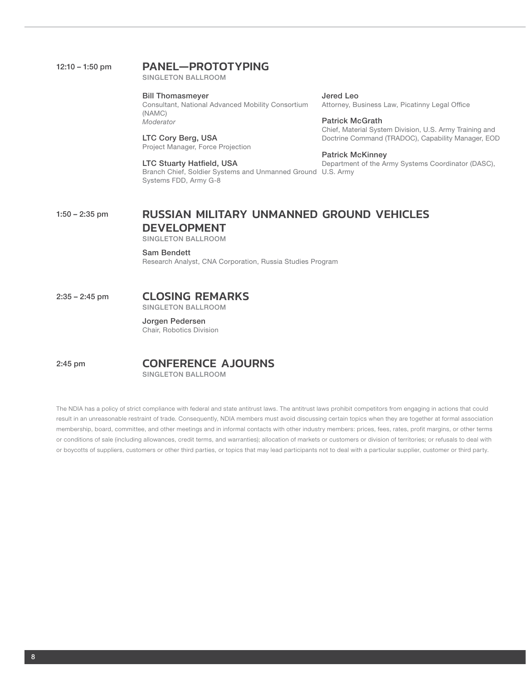### 12:10 - 1:50 pm PANEL-PROTOTYPING

SINGLETON BALLROOM

Bill Thomasmeyer Consultant, National Advanced Mobility Consortium (NAMC) *Moderator*

LTC Cory Berg, USA Project Manager, Force Projection

LTC Stuarty Hatfield, USA Branch Chief, Soldier Systems and Unmanned Ground U.S. Army Systems FDD, Army G-8

Jered Leo Attorney, Business Law, Picatinny Legal Office

Patrick McGrath Chief, Material System Division, U.S. Army Training and Doctrine Command (TRADOC), Capability Manager, EOD

Patrick McKinney Department of the Army Systems Coordinator (DASC),

### 1:50 – 2:35 pm RUSSIAN MILITARY UNMANNED GROUND VEHICLES DEVELOPMENT

SINGLETON BALLROOM

Sam Bendett Research Analyst, CNA Corporation, Russia Studies Program

### 2:35 – 2:45 pm CLOSING REMARKS

SINGLETON BALLROOM

Jorgen Pedersen Chair, Robotics Division

2:45 pm **CONFERENCE AJOURNS** SINGLETON BALLROOM

The NDIA has a policy of strict compliance with federal and state antitrust laws. The antitrust laws prohibit competitors from engaging in actions that could result in an unreasonable restraint of trade. Consequently, NDIA members must avoid discussing certain topics when they are together at formal association membership, board, committee, and other meetings and in informal contacts with other industry members: prices, fees, rates, profit margins, or other terms or conditions of sale (including allowances, credit terms, and warranties); allocation of markets or customers or division of territories; or refusals to deal with or boycotts of suppliers, customers or other third parties, or topics that may lead participants not to deal with a particular supplier, customer or third party.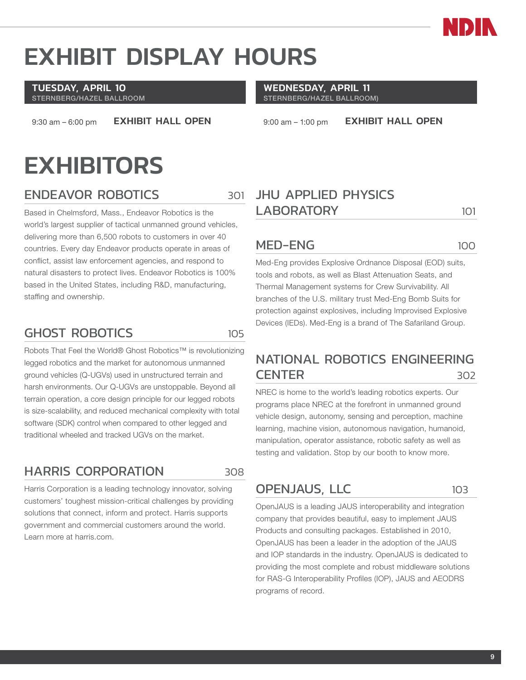

## EXHIBIT DISPLAY HOURS

#### TUESDAY, APRIL 10 STERNBERG/HAZEL BALLROOM

9:30 am – 6:00 pm **EXHIBIT HALL OPEN** 

## **EXHIBITORS**

### ENDEAVOR ROBOTICS 301

Based in Chelmsford, Mass., Endeavor Robotics is the world's largest supplier of tactical unmanned ground vehicles, delivering more than 6,500 robots to customers in over 40 countries. Every day Endeavor products operate in areas of conflict, assist law enforcement agencies, and respond to natural disasters to protect lives. Endeavor Robotics is 100% based in the United States, including R&D, manufacturing, staffing and ownership.

## GHOST ROBOTICS 105

Robots That Feel the World® Ghost Robotics™ is revolutionizing legged robotics and the market for autonomous unmanned ground vehicles (Q-UGVs) used in unstructured terrain and harsh environments. Our Q-UGVs are unstoppable. Beyond all terrain operation, a core design principle for our legged robots is size-scalability, and reduced mechanical complexity with total software (SDK) control when compared to other legged and traditional wheeled and tracked UGVs on the market.

## HARRIS CORPORATION 308

Harris Corporation is a leading technology innovator, solving customers' toughest mission-critical challenges by providing solutions that connect, inform and protect. Harris supports government and commercial customers around the world. Learn more at harris.com.

#### WEDNESDAY, APRIL 11 STERNBERG/HAZEL BALLROOM)

9:00 am - 1:00 pm **EXHIBIT HALL OPEN** 

## JHU APPLIED PHYSICS LABORATORY 101

### MED-ENG 100

Med-Eng provides Explosive Ordnance Disposal (EOD) suits, tools and robots, as well as Blast Attenuation Seats, and Thermal Management systems for Crew Survivability. All branches of the U.S. military trust Med-Eng Bomb Suits for protection against explosives, including Improvised Explosive Devices (IEDs). Med-Eng is a brand of The Safariland Group.

## NATIONAL ROBOTICS ENGINEERING CENTER 302

NREC is home to the world's leading robotics experts. Our programs place NREC at the forefront in unmanned ground vehicle design, autonomy, sensing and perception, machine learning, machine vision, autonomous navigation, humanoid, manipulation, operator assistance, robotic safety as well as testing and validation. Stop by our booth to know more.

## OPENJAUS, LLC 103

OpenJAUS is a leading JAUS interoperability and integration company that provides beautiful, easy to implement JAUS Products and consulting packages. Established in 2010, OpenJAUS has been a leader in the adoption of the JAUS and IOP standards in the industry. OpenJAUS is dedicated to providing the most complete and robust middleware solutions for RAS-G Interoperability Profiles (IOP), JAUS and AEODRS programs of record.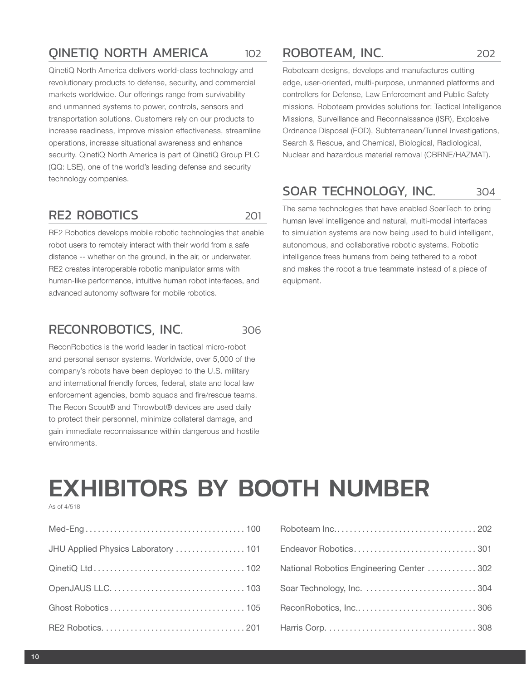### QINETIQ NORTH AMERICA 102

QinetiQ North America delivers world-class technology and revolutionary products to defense, security, and commercial markets worldwide. Our offerings range from survivability and unmanned systems to power, controls, sensors and transportation solutions. Customers rely on our products to increase readiness, improve mission effectiveness, streamline operations, increase situational awareness and enhance security. QinetiQ North America is part of QinetiQ Group PLC (QQ: LSE), one of the world's leading defense and security technology companies.

### RE2 ROBOTICS 201

RE2 Robotics develops mobile robotic technologies that enable robot users to remotely interact with their world from a safe distance -- whether on the ground, in the air, or underwater. RE2 creates interoperable robotic manipulator arms with human-like performance, intuitive human robot interfaces, and advanced autonomy software for mobile robotics.

### RECONROBOTICS, INC. 306

ReconRobotics is the world leader in tactical micro-robot and personal sensor systems. Worldwide, over 5,000 of the company's robots have been deployed to the U.S. military and international friendly forces, federal, state and local law enforcement agencies, bomb squads and fire/rescue teams. The Recon Scout® and Throwbot® devices are used daily to protect their personnel, minimize collateral damage, and gain immediate reconnaissance within dangerous and hostile environments.

### ROBOTEAM, INC. 202

Roboteam designs, develops and manufactures cutting edge, user-oriented, multi-purpose, unmanned platforms and controllers for Defense, Law Enforcement and Public Safety missions. Roboteam provides solutions for: Tactical Intelligence Missions, Surveillance and Reconnaissance (ISR), Explosive Ordnance Disposal (EOD), Subterranean/Tunnel Investigations, Search & Rescue, and Chemical, Biological, Radiological, Nuclear and hazardous material removal (CBRNE/HAZMAT).

### SOAR TECHNOLOGY, INC. 304

The same technologies that have enabled SoarTech to bring human level intelligence and natural, multi-modal interfaces to simulation systems are now being used to build intelligent, autonomous, and collaborative robotic systems. Robotic intelligence frees humans from being tethered to a robot and makes the robot a true teammate instead of a piece of equipment.

## EXHIBITORS BY BOOTH NUMBER

As of 4/518

| JHU Applied Physics Laboratory  101 Endeavor Robotics |  |
|-------------------------------------------------------|--|
|                                                       |  |
|                                                       |  |
|                                                       |  |
|                                                       |  |

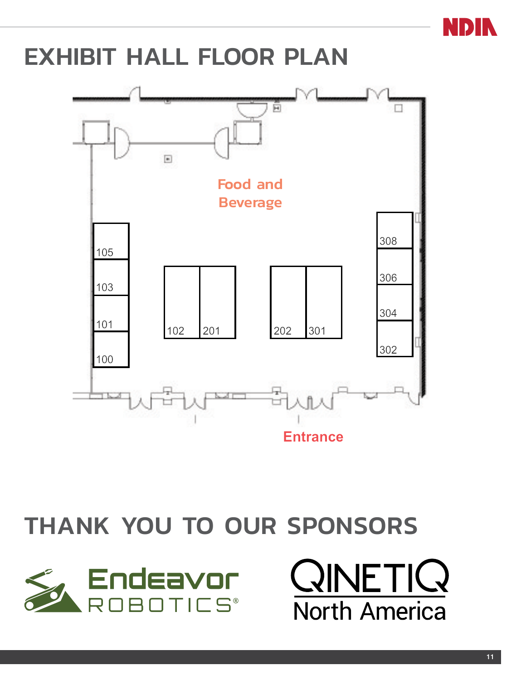

## EXHIBIT HALL FLOOR PLAN



## THANK YOU TO OUR SPONSORS